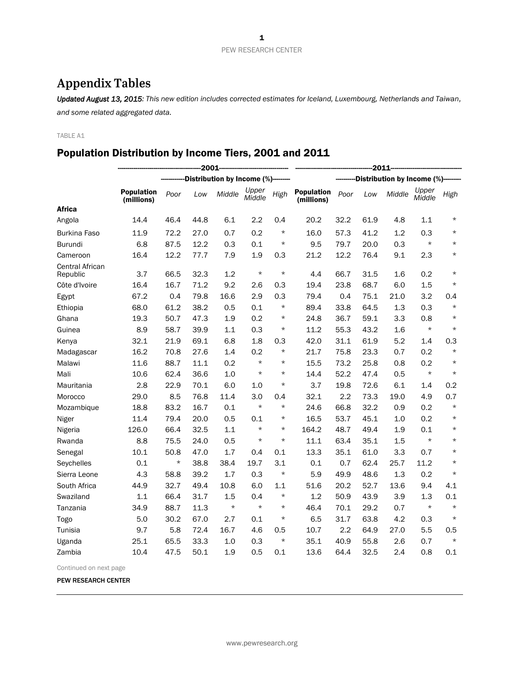# **Appendix Tables**

*Updated August 13, 2015: This new edition includes corrected estimates for Iceland, Luxembourg, Netherlands and Taiwan, and some related aggregated data.* 

TABLE A1

## Population Distribution by Income Tiers, 2001 and 2011

|                             | 2001                            |         |      |                                     |                 |                               | $-2011$                         |      |      |        |                 |          |  |
|-----------------------------|---------------------------------|---------|------|-------------------------------------|-----------------|-------------------------------|---------------------------------|------|------|--------|-----------------|----------|--|
|                             |                                 |         |      | Distribution by Income (%)--------- |                 | Distribution by Income (%)--- |                                 |      |      |        |                 |          |  |
|                             | <b>Population</b><br>(millions) | Poor    | Low  | Middle                              | Upper<br>Middle | High                          | <b>Population</b><br>(millions) | Poor | Low  | Middle | Upper<br>Middle | High     |  |
| <b>Africa</b>               |                                 |         |      |                                     |                 |                               |                                 |      |      |        |                 |          |  |
| Angola                      | 14.4                            | 46.4    | 44.8 | 6.1                                 | 2.2             | 0.4                           | 20.2                            | 32.2 | 61.9 | 4.8    | 1.1             | $^\star$ |  |
| <b>Burkina Faso</b>         | 11.9                            | 72.2    | 27.0 | 0.7                                 | 0.2             | $^\star$                      | 16.0                            | 57.3 | 41.2 | 1.2    | 0.3             | $\star$  |  |
| <b>Burundi</b>              | 6.8                             | 87.5    | 12.2 | 0.3                                 | 0.1             | $\star$                       | 9.5                             | 79.7 | 20.0 | 0.3    | $\star$         | $\star$  |  |
| Cameroon                    | 16.4                            | 12.2    | 77.7 | 7.9                                 | 1.9             | 0.3                           | 21.2                            | 12.2 | 76.4 | 9.1    | 2.3             | $^\star$ |  |
| Central African<br>Republic | 3.7                             | 66.5    | 32.3 | 1.2                                 | $\star$         | $\star$                       | 4.4                             | 66.7 | 31.5 | 1.6    | 0.2             | $\star$  |  |
| Côte d'Ivoire               | 16.4                            | 16.7    | 71.2 | 9.2                                 | 2.6             | 0.3                           | 19.4                            | 23.8 | 68.7 | 6.0    | 1.5             | $\star$  |  |
| Egypt                       | 67.2                            | 0.4     | 79.8 | 16.6                                | 2.9             | 0.3                           | 79.4                            | 0.4  | 75.1 | 21.0   | 3.2             | 0.4      |  |
| Ethiopia                    | 68.0                            | 61.2    | 38.2 | 0.5                                 | 0.1             | $\star$                       | 89.4                            | 33.8 | 64.5 | 1.3    | 0.3             | $\star$  |  |
| Ghana                       | 19.3                            | 50.7    | 47.3 | 1.9                                 | 0.2             | $^\star$                      | 24.8                            | 36.7 | 59.1 | 3.3    | 0.8             | $\star$  |  |
| Guinea                      | 8.9                             | 58.7    | 39.9 | 1.1                                 | 0.3             | $^\star$                      | 11.2                            | 55.3 | 43.2 | 1.6    | $^\star$        | $\star$  |  |
| Kenya                       | 32.1                            | 21.9    | 69.1 | 6.8                                 | 1.8             | 0.3                           | 42.0                            | 31.1 | 61.9 | 5.2    | 1.4             | 0.3      |  |
| Madagascar                  | 16.2                            | 70.8    | 27.6 | 1.4                                 | 0.2             | $^\star$                      | 21.7                            | 75.8 | 23.3 | 0.7    | 0.2             | $\star$  |  |
| Malawi                      | 11.6                            | 88.7    | 11.1 | 0.2                                 | $\star$         | $\star$                       | 15.5                            | 73.2 | 25.8 | 0.8    | 0.2             | $\star$  |  |
| Mali                        | 10.6                            | 62.4    | 36.6 | 1.0                                 | $\star$         | $^\star$                      | 14.4                            | 52.2 | 47.4 | 0.5    | $\star$         | $\star$  |  |
| Mauritania                  | 2.8                             | 22.9    | 70.1 | 6.0                                 | 1.0             | $\star$                       | 3.7                             | 19.8 | 72.6 | 6.1    | 1.4             | 0.2      |  |
| Morocco                     | 29.0                            | 8.5     | 76.8 | 11.4                                | 3.0             | 0.4                           | 32.1                            | 2.2  | 73.3 | 19.0   | 4.9             | 0.7      |  |
| Mozambique                  | 18.8                            | 83.2    | 16.7 | 0.1                                 | $\star$         | $\star$                       | 24.6                            | 66.8 | 32.2 | 0.9    | 0.2             | $\star$  |  |
| Niger                       | 11.4                            | 79.4    | 20.0 | 0.5                                 | 0.1             | $^\star$                      | 16.5                            | 53.7 | 45.1 | 1.0    | 0.2             | $^\star$ |  |
| Nigeria                     | 126.0                           | 66.4    | 32.5 | 1.1                                 | $\star$         | $^\star$                      | 164.2                           | 48.7 | 49.4 | 1.9    | 0.1             | $\star$  |  |
| Rwanda                      | 8.8                             | 75.5    | 24.0 | 0.5                                 | $\star$         | $\star$                       | 11.1                            | 63.4 | 35.1 | 1.5    | $\star$         | $^\star$ |  |
| Senegal                     | 10.1                            | 50.8    | 47.0 | 1.7                                 | 0.4             | 0.1                           | 13.3                            | 35.1 | 61.0 | 3.3    | 0.7             | $^\star$ |  |
| Seychelles                  | 0.1                             | $\star$ | 38.8 | 38.4                                | 19.7            | 3.1                           | 0.1                             | 0.7  | 62.4 | 25.7   | 11.2            | $\star$  |  |
| Sierra Leone                | 4.3                             | 58.8    | 39.2 | 1.7                                 | 0.3             | $\star$                       | 5.9                             | 49.9 | 48.6 | 1.3    | 0.2             | $\star$  |  |
| South Africa                | 44.9                            | 32.7    | 49.4 | 10.8                                | 6.0             | 1.1                           | 51.6                            | 20.2 | 52.7 | 13.6   | 9.4             | 4.1      |  |
| Swaziland                   | 1.1                             | 66.4    | 31.7 | 1.5                                 | 0.4             | $\star$                       | 1.2                             | 50.9 | 43.9 | 3.9    | 1.3             | 0.1      |  |
| Tanzania                    | 34.9                            | 88.7    | 11.3 | $\star$                             | $\star$         | $\star$                       | 46.4                            | 70.1 | 29.2 | 0.7    | $\star$         | $\star$  |  |
| Togo                        | 5.0                             | 30.2    | 67.0 | 2.7                                 | 0.1             | $\star$                       | 6.5                             | 31.7 | 63.8 | 4.2    | 0.3             | $\star$  |  |
| Tunisia                     | 9.7                             | 5.8     | 72.4 | 16.7                                | 4.6             | 0.5                           | 10.7                            | 2.2  | 64.9 | 27.0   | 5.5             | 0.5      |  |
| Uganda                      | 25.1                            | 65.5    | 33.3 | 1.0                                 | 0.3             | $\star$                       | 35.1                            | 40.9 | 55.8 | 2.6    | 0.7             | $\star$  |  |
| Zambia                      | 10.4                            | 47.5    | 50.1 | 1.9                                 | 0.5             | 0.1                           | 13.6                            | 64.4 | 32.5 | 2.4    | 0.8             | 0.1      |  |

Continued on next page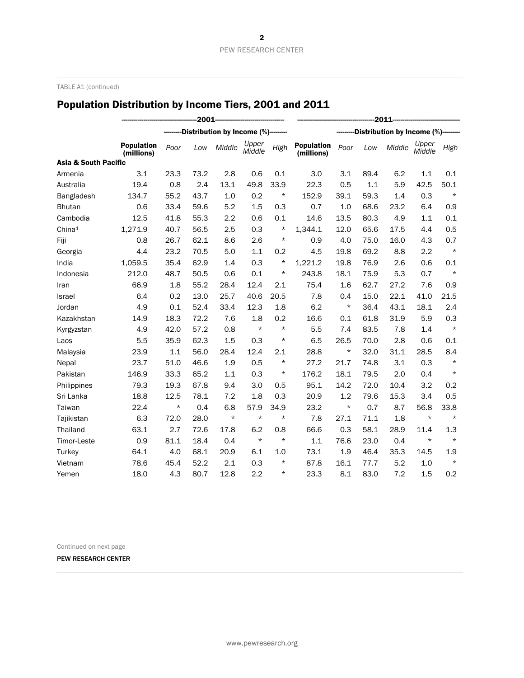TABLE A1 (continued)

# Population Distribution by Income Tiers, 2001 and 2011

|                                 |                                 | $-2011$ |      |                               |                 |          |                                 |                              |      |        |                 |         |  |
|---------------------------------|---------------------------------|---------|------|-------------------------------|-----------------|----------|---------------------------------|------------------------------|------|--------|-----------------|---------|--|
|                                 |                                 |         |      | Distribution by Income (%)--- |                 |          |                                 | Distribution by Income (%)-- |      |        |                 |         |  |
|                                 | <b>Population</b><br>(millions) | Poor    | Low  | Middle                        | Upper<br>Middle | High     | <b>Population</b><br>(millions) | Poor                         | Low  | Middle | Upper<br>Middle | High    |  |
| <b>Asia &amp; South Pacific</b> |                                 |         |      |                               |                 |          |                                 |                              |      |        |                 |         |  |
| Armenia                         | 3.1                             | 23.3    | 73.2 | 2.8                           | 0.6             | 0.1      | 3.0                             | 3.1                          | 89.4 | 6.2    | 1.1             | 0.1     |  |
| Australia                       | 19.4                            | 0.8     | 2.4  | 13.1                          | 49.8            | 33.9     | 22.3                            | 0.5                          | 1.1  | 5.9    | 42.5            | 50.1    |  |
| Bangladesh                      | 134.7                           | 55.2    | 43.7 | 1.0                           | 0.2             | $^\star$ | 152.9                           | 39.1                         | 59.3 | 1.4    | 0.3             | $\star$ |  |
| <b>Bhutan</b>                   | 0.6                             | 33.4    | 59.6 | 5.2                           | 1.5             | 0.3      | 0.7                             | 1.0                          | 68.6 | 23.2   | 6.4             | 0.9     |  |
| Cambodia                        | 12.5                            | 41.8    | 55.3 | 2.2                           | 0.6             | 0.1      | 14.6                            | 13.5                         | 80.3 | 4.9    | 1.1             | 0.1     |  |
| China <sup>1</sup>              | 1,271.9                         | 40.7    | 56.5 | 2.5                           | 0.3             | $\star$  | 1,344.1                         | 12.0                         | 65.6 | 17.5   | 4.4             | 0.5     |  |
| Fiji                            | 0.8                             | 26.7    | 62.1 | 8.6                           | 2.6             | $^\star$ | 0.9                             | 4.0                          | 75.0 | 16.0   | 4.3             | 0.7     |  |
| Georgia                         | 4.4                             | 23.2    | 70.5 | 5.0                           | 1.1             | 0.2      | 4.5                             | 19.8                         | 69.2 | 8.8    | 2.2             | $\star$ |  |
| India                           | 1,059.5                         | 35.4    | 62.9 | 1.4                           | 0.3             | $^\star$ | 1,221.2                         | 19.8                         | 76.9 | 2.6    | 0.6             | 0.1     |  |
| Indonesia                       | 212.0                           | 48.7    | 50.5 | 0.6                           | 0.1             | $^\star$ | 243.8                           | 18.1                         | 75.9 | 5.3    | 0.7             | $\star$ |  |
| Iran                            | 66.9                            | 1.8     | 55.2 | 28.4                          | 12.4            | 2.1      | 75.4                            | 1.6                          | 62.7 | 27.2   | 7.6             | 0.9     |  |
| Israel                          | 6.4                             | 0.2     | 13.0 | 25.7                          | 40.6            | 20.5     | 7.8                             | 0.4                          | 15.0 | 22.1   | 41.0            | 21.5    |  |
| Jordan                          | 4.9                             | 0.1     | 52.4 | 33.4                          | 12.3            | 1.8      | 6.2                             | $^\star$                     | 36.4 | 43.1   | 18.1            | 2.4     |  |
| Kazakhstan                      | 14.9                            | 18.3    | 72.2 | 7.6                           | 1.8             | 0.2      | 16.6                            | 0.1                          | 61.8 | 31.9   | 5.9             | 0.3     |  |
| Kyrgyzstan                      | 4.9                             | 42.0    | 57.2 | 0.8                           | $\star$         | $\star$  | 5.5                             | 7.4                          | 83.5 | 7.8    | 1.4             | $\star$ |  |
| Laos                            | 5.5                             | 35.9    | 62.3 | 1.5                           | 0.3             | $\star$  | 6.5                             | 26.5                         | 70.0 | 2.8    | 0.6             | 0.1     |  |
| Malaysia                        | 23.9                            | 1.1     | 56.0 | 28.4                          | 12.4            | 2.1      | 28.8                            | $^\star$                     | 32.0 | 31.1   | 28.5            | 8.4     |  |
| Nepal                           | 23.7                            | 51.0    | 46.6 | 1.9                           | 0.5             | $\star$  | 27.2                            | 21.7                         | 74.8 | 3.1    | 0.3             | $\star$ |  |
| Pakistan                        | 146.9                           | 33.3    | 65.2 | 1.1                           | 0.3             | $^\star$ | 176.2                           | 18.1                         | 79.5 | 2.0    | 0.4             | $\star$ |  |
| Philippines                     | 79.3                            | 19.3    | 67.8 | 9.4                           | 3.0             | 0.5      | 95.1                            | 14.2                         | 72.0 | 10.4   | 3.2             | 0.2     |  |
| Sri Lanka                       | 18.8                            | 12.5    | 78.1 | 7.2                           | 1.8             | 0.3      | 20.9                            | 1.2                          | 79.6 | 15.3   | 3.4             | 0.5     |  |
| Taiwan                          | 22.4                            | $\star$ | 0.4  | 6.8                           | 57.9            | 34.9     | 23.2                            | $^\star$                     | 0.7  | 8.7    | 56.8            | 33.8    |  |
| Tajikistan                      | 6.3                             | 72.0    | 28.0 | $\star$                       | $\star$         | $\star$  | 7.8                             | 27.1                         | 71.1 | 1.8    | $\star$         | $\star$ |  |
| Thailand                        | 63.1                            | 2.7     | 72.6 | 17.8                          | 6.2             | 0.8      | 66.6                            | 0.3                          | 58.1 | 28.9   | 11.4            | 1.3     |  |
| Timor-Leste                     | 0.9                             | 81.1    | 18.4 | 0.4                           | $\star$         | $\star$  | 1.1                             | 76.6                         | 23.0 | 0.4    | $\star$         | $\star$ |  |
| Turkey                          | 64.1                            | 4.0     | 68.1 | 20.9                          | 6.1             | 1.0      | 73.1                            | 1.9                          | 46.4 | 35.3   | 14.5            | 1.9     |  |
| Vietnam                         | 78.6                            | 45.4    | 52.2 | 2.1                           | 0.3             | $^\star$ | 87.8                            | 16.1                         | 77.7 | 5.2    | 1.0             | $\star$ |  |
| Yemen                           | 18.0                            | 4.3     | 80.7 | 12.8                          | 2.2             | $\star$  | 23.3                            | 8.1                          | 83.0 | 7.2    | 1.5             | 0.2     |  |

Continued on next page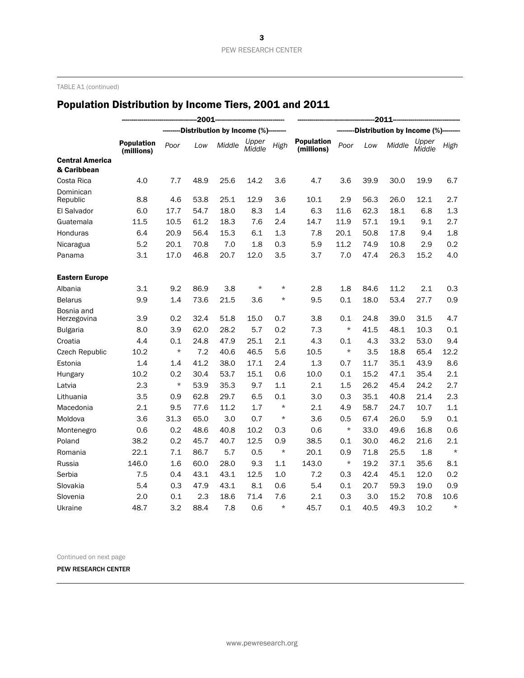TABLE A1 (continued)

# Population Distribution by Income Tiers, 2001 and 2011

|                                       |                                 | 2011     |      |                              |                 |                             |                                 |          |      |        |                 |         |
|---------------------------------------|---------------------------------|----------|------|------------------------------|-----------------|-----------------------------|---------------------------------|----------|------|--------|-----------------|---------|
|                                       |                                 |          |      | -Distribution by Income (%)- |                 | Distribution by Income (%)- |                                 |          |      |        |                 |         |
|                                       | <b>Population</b><br>(millions) | Poor     | Low  | Middle                       | Upper<br>Middle | High                        | <b>Population</b><br>(millions) | Poor     | Low  | Middle | Upper<br>Middle | High    |
| <b>Central America</b><br>& Caribbean |                                 |          |      |                              |                 |                             |                                 |          |      |        |                 |         |
| Costa Rica                            | 4.0                             | 7.7      | 48.9 | 25.6                         | 14.2            | 3.6                         | 4.7                             | 3.6      | 39.9 | 30.0   | 19.9            | 6.7     |
| Dominican<br>Republic                 | 8.8                             | 4.6      | 53.8 | 25.1                         | 12.9            | 3.6                         | 10.1                            | 2.9      | 56.3 | 26.0   | 12.1            | 2.7     |
| El Salvador                           | 6.0                             | 17.7     | 54.7 | 18.0                         | 8.3             | 1.4                         | 6.3                             | 11.6     | 62.3 | 18.1   | 6.8             | 1.3     |
| Guatemala                             | 11.5                            | 10.5     | 61.2 | 18.3                         | 7.6             | 2.4                         | 14.7                            | 11.9     | 57.1 | 19.1   | 9.1             | 2.7     |
| Honduras                              | 6.4                             | 20.9     | 56.4 | 15.3                         | 6.1             | 1.3                         | 7.8                             | 20.1     | 50.8 | 17.8   | 9.4             | 1.8     |
| Nicaragua                             | 5.2                             | 20.1     | 70.8 | 7.0                          | 1.8             | 0.3                         | 5.9                             | 11.2     | 74.9 | 10.8   | 2.9             | 0.2     |
| Panama                                | 3.1                             | 17.0     | 46.8 | 20.7                         | 12.0            | 3.5                         | 3.7                             | 7.0      | 47.4 | 26.3   | 15.2            | 4.0     |
| <b>Eastern Europe</b>                 |                                 |          |      |                              |                 |                             |                                 |          |      |        |                 |         |
| Albania                               | 3.1                             | 9.2      | 86.9 | 3.8                          | $\star$         | $\star$                     | 2.8                             | 1.8      | 84.6 | 11.2   | 2.1             | 0.3     |
| <b>Belarus</b>                        | 9.9                             | 1.4      | 73.6 | 21.5                         | 3.6             | $\star$                     | 9.5                             | 0.1      | 18.0 | 53.4   | 27.7            | 0.9     |
| Bosnia and                            |                                 |          |      |                              |                 |                             |                                 |          |      |        |                 |         |
| Herzegovina                           | 3.9                             | 0.2      | 32.4 | 51.8                         | 15.0            | 0.7                         | 3.8                             | 0.1      | 24.8 | 39.0   | 31.5            | 4.7     |
| <b>Bulgaria</b>                       | 8.0                             | 3.9      | 62.0 | 28.2                         | 5.7             | 0.2                         | 7.3                             | $^\star$ | 41.5 | 48.1   | 10.3            | 0.1     |
| Croatia                               | 4.4                             | 0.1      | 24.8 | 47.9                         | 25.1            | 2.1                         | 4.3                             | 0.1      | 4.3  | 33.2   | 53.0            | 9.4     |
| <b>Czech Republic</b>                 | 10.2                            | $^\star$ | 7.2  | 40.6                         | 46.5            | 5.6                         | 10.5                            | $^\star$ | 3.5  | 18.8   | 65.4            | 12.2    |
| Estonia                               | 1.4                             | 1.4      | 41.2 | 38.0                         | 17.1            | 2.4                         | 1.3                             | 0.7      | 11.7 | 35.1   | 43.9            | 8.6     |
| Hungary                               | 10.2                            | 0.2      | 30.4 | 53.7                         | 15.1            | 0.6                         | 10.0                            | 0.1      | 15.2 | 47.1   | 35.4            | 2.1     |
| Latvia                                | 2.3                             | $\star$  | 53.9 | 35.3                         | 9.7             | 1.1                         | 2.1                             | 1.5      | 26.2 | 45.4   | 24.2            | 2.7     |
| Lithuania                             | 3.5                             | 0.9      | 62.8 | 29.7                         | 6.5             | 0.1                         | 3.0                             | 0.3      | 35.1 | 40.8   | 21.4            | 2.3     |
| Macedonia                             | 2.1                             | 9.5      | 77.6 | 11.2                         | 1.7             | $^\star$                    | 2.1                             | 4.9      | 58.7 | 24.7   | 10.7            | 1.1     |
| Moldova                               | 3.6                             | 31.3     | 65.0 | 3.0                          | 0.7             | $\star$                     | 3.6                             | 0.5      | 67.4 | 26.0   | 5.9             | 0.1     |
| Montenegro                            | 0.6                             | 0.2      | 48.6 | 40.8                         | 10.2            | 0.3                         | 0.6                             | $^\star$ | 33.0 | 49.6   | 16.8            | 0.6     |
| Poland                                | 38.2                            | 0.2      | 45.7 | 40.7                         | 12.5            | 0.9                         | 38.5                            | 0.1      | 30.0 | 46.2   | 21.6            | 2.1     |
| Romania                               | 22.1                            | 7.1      | 86.7 | 5.7                          | 0.5             | $^\star$                    | 20.1                            | 0.9      | 71.8 | 25.5   | 1.8             | $\star$ |
| Russia                                | 146.0                           | 1.6      | 60.0 | 28.0                         | 9.3             | 1.1                         | 143.0                           | $\star$  | 19.2 | 37.1   | 35.6            | 8.1     |
| Serbia                                | 7.5                             | 0.4      | 43.1 | 43.1                         | 12.5            | 1.0                         | 7.2                             | 0.3      | 42.4 | 45.1   | 12.0            | 0.2     |
| Slovakia                              | 5.4                             | 0.3      | 47.9 | 43.1                         | 8.1             | 0.6                         | 5.4                             | 0.1      | 20.7 | 59.3   | 19.0            | 0.9     |
| Slovenia                              | 2.0                             | 0.1      | 2.3  | 18.6                         | 71.4            | 7.6                         | 2.1                             | 0.3      | 3.0  | 15.2   | 70.8            | 10.6    |
| Ukraine                               | 48.7                            | 3.2      | 88.4 | 7.8                          | 0.6             | $\star$                     | 45.7                            | 0.1      | 40.5 | 49.3   | 10.2            | $\star$ |

Continued on next page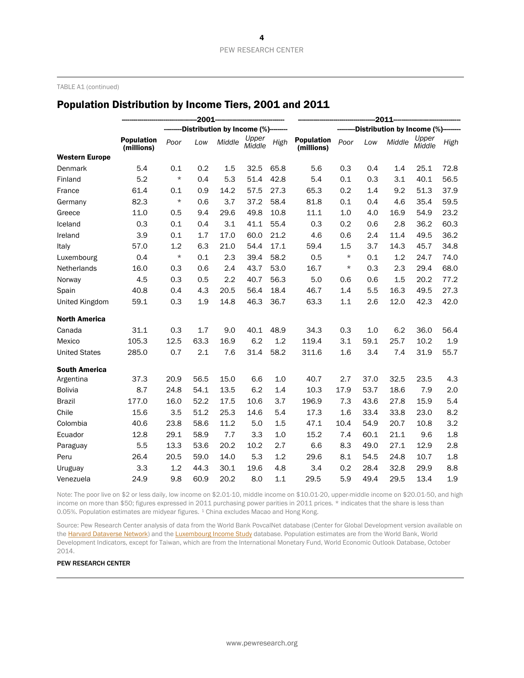TABLE A1 (continued)

### Population Distribution by Income Tiers, 2001 and 2011

|                       |                                 | $-2011-$ |      |                                    |                 |      |                                    |          |      |        |                 |         |
|-----------------------|---------------------------------|----------|------|------------------------------------|-----------------|------|------------------------------------|----------|------|--------|-----------------|---------|
|                       |                                 |          |      | Distribution by Income (%)-------- |                 |      | Distribution by Income (%)-------- |          |      |        |                 |         |
|                       | <b>Population</b><br>(millions) | Poor     | Low  | Middle                             | Upper<br>Middle | High | <b>Population</b><br>(millions)    | Poor     | Low  | Middle | Upper<br>Middle | High    |
| <b>Western Europe</b> |                                 |          |      |                                    |                 |      |                                    |          |      |        |                 |         |
| Denmark               | 5.4                             | 0.1      | 0.2  | 1.5                                | 32.5            | 65.8 | 5.6                                | 0.3      | 0.4  | 1.4    | 25.1            | 72.8    |
| Finland               | 5.2                             | $^\star$ | 0.4  | 5.3                                | 51.4            | 42.8 | 5.4                                | 0.1      | 0.3  | 3.1    | 40.1            | 56.5    |
| France                | 61.4                            | 0.1      | 0.9  | 14.2                               | 57.5            | 27.3 | 65.3                               | 0.2      | 1.4  | 9.2    | 51.3            | 37.9    |
| Germany               | 82.3                            | $^\star$ | 0.6  | 3.7                                | 37.2            | 58.4 | 81.8                               | 0.1      | 0.4  | 4.6    | 35.4            | 59.5    |
| Greece                | 11.0                            | 0.5      | 9.4  | 29.6                               | 49.8            | 10.8 | 11.1                               | 1.0      | 4.0  | 16.9   | 54.9            | 23.2    |
| Iceland               | 0.3                             | 0.1      | 0.4  | 3.1                                | 41.1            | 55.4 | 0.3                                | 0.2      | 0.6  | 2.8    | 36.2            | 60.3    |
| Ireland               | 3.9                             | 0.1      | 1.7  | 17.0                               | 60.0            | 21.2 | 4.6                                | 0.6      | 2.4  | 11.4   | 49.5            | 36.2    |
| Italy                 | 57.0                            | 1.2      | 6.3  | 21.0                               | 54.4            | 17.1 | 59.4                               | 1.5      | 3.7  | 14.3   | 45.7            | 34.8    |
| Luxembourg            | 0.4                             | $\star$  | 0.1  | 2.3                                | 39.4            | 58.2 | 0.5                                | $^\star$ | 0.1  | 1.2    | 24.7            | 74.0    |
| Netherlands           | 16.0                            | 0.3      | 0.6  | 2.4                                | 43.7            | 53.0 | 16.7                               | $\star$  | 0.3  | 2.3    | 29.4            | 68.0    |
| Norway                | 4.5                             | 0.3      | 0.5  | 2.2                                | 40.7            | 56.3 | 5.0                                | 0.6      | 0.6  | 1.5    | 20.2            | 77.2    |
| Spain                 | 40.8                            | 0.4      | 4.3  | 20.5                               | 56.4            | 18.4 | 46.7                               | 1.4      | 5.5  | 16.3   | 49.5            | 27.3    |
| United Kingdom        | 59.1                            | 0.3      | 1.9  | 14.8                               | 46.3            | 36.7 | 63.3                               | 1.1      | 2.6  | 12.0   | 42.3            | 42.0    |
| <b>North America</b>  |                                 |          |      |                                    |                 |      |                                    |          |      |        |                 |         |
| Canada                | 31.1                            | 0.3      | 1.7  | 9.0                                | 40.1            | 48.9 | 34.3                               | 0.3      | 1.0  | 6.2    | 36.0            | 56.4    |
| Mexico                | 105.3                           | 12.5     | 63.3 | 16.9                               | 6.2             | 1.2  | 119.4                              | 3.1      | 59.1 | 25.7   | 10.2            | $1.9\,$ |
| <b>United States</b>  | 285.0                           | 0.7      | 2.1  | 7.6                                | 31.4            | 58.2 | 311.6                              | 1.6      | 3.4  | 7.4    | 31.9            | 55.7    |
| <b>South America</b>  |                                 |          |      |                                    |                 |      |                                    |          |      |        |                 |         |
| Argentina             | 37.3                            | 20.9     | 56.5 | 15.0                               | 6.6             | 1.0  | 40.7                               | 2.7      | 37.0 | 32.5   | 23.5            | 4.3     |
| <b>Bolivia</b>        | 8.7                             | 24.8     | 54.1 | 13.5                               | 6.2             | 1.4  | 10.3                               | 17.9     | 53.7 | 18.6   | 7.9             | 2.0     |
| <b>Brazil</b>         | 177.0                           | 16.0     | 52.2 | 17.5                               | 10.6            | 3.7  | 196.9                              | 7.3      | 43.6 | 27.8   | 15.9            | 5.4     |
| Chile                 | 15.6                            | 3.5      | 51.2 | 25.3                               | 14.6            | 5.4  | 17.3                               | 1.6      | 33.4 | 33.8   | 23.0            | 8.2     |
| Colombia              | 40.6                            | 23.8     | 58.6 | 11.2                               | 5.0             | 1.5  | 47.1                               | 10.4     | 54.9 | 20.7   | 10.8            | 3.2     |
| Ecuador               | 12.8                            | 29.1     | 58.9 | 7.7                                | 3.3             | 1.0  | 15.2                               | 7.4      | 60.1 | 21.1   | 9.6             | 1.8     |
| Paraguay              | 5.5                             | 13.3     | 53.6 | 20.2                               | 10.2            | 2.7  | 6.6                                | 8.3      | 49.0 | 27.1   | 12.9            | 2.8     |
| Peru                  | 26.4                            | 20.5     | 59.0 | 14.0                               | 5.3             | 1.2  | 29.6                               | 8.1      | 54.5 | 24.8   | 10.7            | 1.8     |
| Uruguay               | 3.3                             | 1.2      | 44.3 | 30.1                               | 19.6            | 4.8  | 3.4                                | 0.2      | 28.4 | 32.8   | 29.9            | 8.8     |
| Venezuela             | 24.9                            | 9.8      | 60.9 | 20.2                               | 8.0             | 1.1  | 29.5                               | 5.9      | 49.4 | 29.5   | 13.4            | 1.9     |

Note: The poor live on \$2 or less daily, low income on \$2.01-10, middle income on \$10.01-20, upper-middle income on \$20.01-50, and high income on more than \$50; figures expressed in 2011 purchasing power parities in 2011 prices. \* indicates that the share is less than 0.05%. Population estimates are midyear figures. <sup>1</sup> China excludes Macao and Hong Kong.

Source: Pew Research Center analysis of data from the World Bank PovcalNet database (Center for Global Development version available on th[e Harvard Dataverse Network\)](https://dataverse.harvard.edu/dataset.xhtml?persistentId=doi:10.7910/DVN/25492) and th[e Luxembourg Income Study](http://www.lisdatacenter.org/) database. Population estimates are from the World Bank, World Development Indicators, except for Taiwan, which are from the International Monetary Fund, World Economic Outlook Database, October 2014.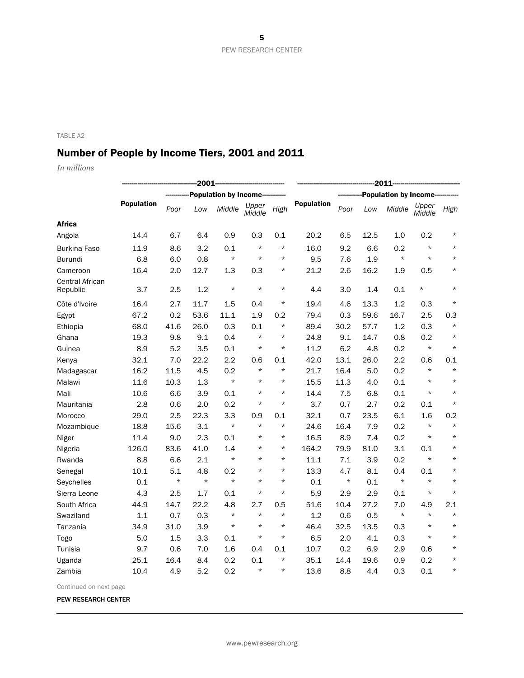# Number of People by Income Tiers, 2001 and 2011

*In millions*

|                                    | $-2001-$          |         |         |                              |                 |          | $-2011-$          |                              |      |         |                 |          |
|------------------------------------|-------------------|---------|---------|------------------------------|-----------------|----------|-------------------|------------------------------|------|---------|-----------------|----------|
|                                    |                   |         |         | <b>Population by Income-</b> |                 |          |                   | <b>Population by Income-</b> |      |         |                 |          |
|                                    | <b>Population</b> | Poor    | Low     | Middle                       | Upper<br>Middle | High     | <b>Population</b> | Poor                         | Low  | Middle  | Upper<br>Middle | High     |
| <b>Africa</b>                      |                   |         |         |                              |                 |          |                   |                              |      |         |                 |          |
| Angola                             | 14.4              | 6.7     | 6.4     | 0.9                          | 0.3             | 0.1      | 20.2              | 6.5                          | 12.5 | 1.0     | 0.2             | $^\star$ |
| Burkina Faso                       | 11.9              | 8.6     | 3.2     | 0.1                          | $\star$         | $\star$  | 16.0              | 9.2                          | 6.6  | 0.2     | $\star$         | $\star$  |
| Burundi                            | 6.8               | 6.0     | 0.8     | $\star$                      | $\star$         | $\star$  | 9.5               | 7.6                          | 1.9  | $\star$ | $\star$         | $\star$  |
| Cameroon                           | 16.4              | 2.0     | 12.7    | 1.3                          | 0.3             | $^\star$ | 21.2              | 2.6                          | 16.2 | 1.9     | 0.5             | $^\star$ |
| <b>Central African</b><br>Republic | 3.7               | 2.5     | 1.2     | $\star$                      | $\star$         | $\star$  | 4.4               | 3.0                          | 1.4  | 0.1     | $^\star$        | $\star$  |
| Côte d'Ivoire                      | 16.4              | 2.7     | 11.7    | 1.5                          | 0.4             | $\star$  | 19.4              | 4.6                          | 13.3 | 1.2     | 0.3             | $\star$  |
| Egypt                              | 67.2              | 0.2     | 53.6    | 11.1                         | 1.9             | 0.2      | 79.4              | 0.3                          | 59.6 | 16.7    | 2.5             | 0.3      |
| Ethiopia                           | 68.0              | 41.6    | 26.0    | 0.3                          | 0.1             | $\star$  | 89.4              | 30.2                         | 57.7 | 1.2     | 0.3             | $\star$  |
| Ghana                              | 19.3              | 9.8     | 9.1     | 0.4                          | $\star$         | $\star$  | 24.8              | 9.1                          | 14.7 | 0.8     | 0.2             | $\star$  |
| Guinea                             | 8.9               | 5.2     | 3.5     | 0.1                          | $\star$         | $\star$  | 11.2              | 6.2                          | 4.8  | 0.2     | $\star$         | $\star$  |
| Kenya                              | 32.1              | 7.0     | 22.2    | 2.2                          | 0.6             | 0.1      | 42.0              | 13.1                         | 26.0 | 2.2     | 0.6             | 0.1      |
| Madagascar                         | 16.2              | 11.5    | 4.5     | 0.2                          | $\star$         | $\star$  | 21.7              | 16.4                         | 5.0  | 0.2     | $\star$         | $\star$  |
| Malawi                             | 11.6              | 10.3    | 1.3     | $\star$                      | $\star$         | $\star$  | 15.5              | 11.3                         | 4.0  | 0.1     | $\star$         | $\star$  |
| Mali                               | 10.6              | 6.6     | 3.9     | 0.1                          | $\star$         | $\star$  | 14.4              | 7.5                          | 6.8  | 0.1     | $\star$         | $\star$  |
| Mauritania                         | 2.8               | 0.6     | 2.0     | 0.2                          | $\star$         | $\star$  | 3.7               | 0.7                          | 2.7  | 0.2     | 0.1             | $\star$  |
| Morocco                            | 29.0              | 2.5     | 22.3    | 3.3                          | 0.9             | 0.1      | 32.1              | 0.7                          | 23.5 | 6.1     | 1.6             | 0.2      |
| Mozambique                         | 18.8              | 15.6    | 3.1     | $\star$                      | $\star$         | $\star$  | 24.6              | 16.4                         | 7.9  | 0.2     | $\star$         | $\star$  |
| Niger                              | 11.4              | 9.0     | 2.3     | 0.1                          | $\star$         | $^\star$ | 16.5              | 8.9                          | 7.4  | 0.2     | $\star$         | $\star$  |
| Nigeria                            | 126.0             | 83.6    | 41.0    | 1.4                          | $^\star$        | $^\star$ | 164.2             | 79.9                         | 81.0 | 3.1     | 0.1             | $\star$  |
| Rwanda                             | 8.8               | 6.6     | 2.1     | $\star$                      | $\star$         | $\star$  | 11.1              | 7.1                          | 3.9  | 0.2     | $\star$         | $\star$  |
| Senegal                            | 10.1              | 5.1     | 4.8     | 0.2                          | $\star$         | $^\star$ | 13.3              | 4.7                          | 8.1  | 0.4     | 0.1             | $\star$  |
| Seychelles                         | 0.1               | $\star$ | $\star$ | $\star$                      | $\star$         | $\star$  | 0.1               | $\star$                      | 0.1  | $\star$ | $\star$         | $\star$  |
| Sierra Leone                       | 4.3               | 2.5     | 1.7     | 0.1                          | $\star$         | $\star$  | 5.9               | 2.9                          | 2.9  | 0.1     | $\star$         | $\star$  |
| South Africa                       | 44.9              | 14.7    | 22.2    | 4.8                          | 2.7             | 0.5      | 51.6              | 10.4                         | 27.2 | 7.0     | 4.9             | 2.1      |
| Swaziland                          | 1.1               | 0.7     | 0.3     | $\star$                      | $\star$         | $\star$  | 1.2               | 0.6                          | 0.5  | $\star$ | $\star$         | $\star$  |
| Tanzania                           | 34.9              | 31.0    | 3.9     | $\star$                      | $\star$         | $\star$  | 46.4              | 32.5                         | 13.5 | 0.3     | $\star$         | $\star$  |
| Togo                               | 5.0               | 1.5     | 3.3     | 0.1                          | $\star$         | $\star$  | 6.5               | 2.0                          | 4.1  | 0.3     | $\star$         | $\star$  |
| Tunisia                            | 9.7               | 0.6     | 7.0     | 1.6                          | 0.4             | 0.1      | 10.7              | 0.2                          | 6.9  | 2.9     | 0.6             | $\star$  |
| Uganda                             | 25.1              | 16.4    | 8.4     | 0.2                          | 0.1             | $\star$  | 35.1              | 14.4                         | 19.6 | 0.9     | 0.2             | $\star$  |
| Zambia                             | 10.4              | 4.9     | 5.2     | 0.2                          | $\star$         | $\star$  | 13.6              | 8.8                          | 4.4  | 0.3     | 0.1             | $\star$  |

Continued on next page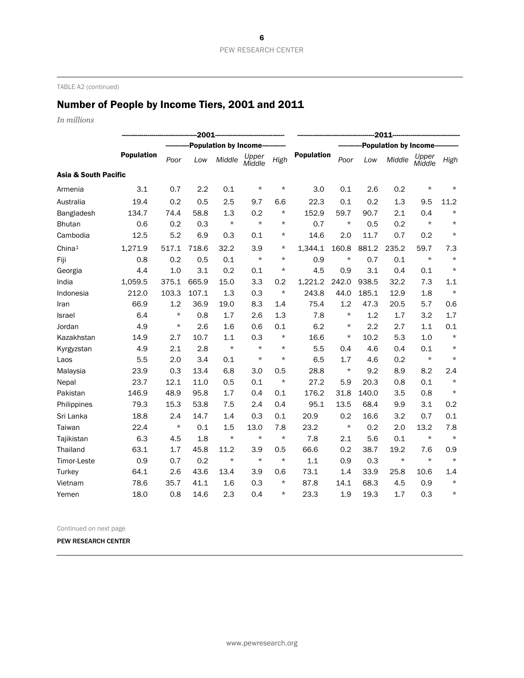TABLE A2 (continued)

# Number of People by Income Tiers, 2001 and 2011

*In millions*

|                                 | $-2001$           |          |       |                               |                 |          |                                | $-2011$  |       |         |                 |         |  |
|---------------------------------|-------------------|----------|-------|-------------------------------|-----------------|----------|--------------------------------|----------|-------|---------|-----------------|---------|--|
|                                 |                   |          |       | <b>Population by Income--</b> |                 |          | <b>Population by Income---</b> |          |       |         |                 |         |  |
|                                 | <b>Population</b> | Poor     | Low   | Middle                        | Upper<br>Middle | High     | <b>Population</b>              | Poor     | Low   | Middle  | Upper<br>Middle | High    |  |
| <b>Asia &amp; South Pacific</b> |                   |          |       |                               |                 |          |                                |          |       |         |                 |         |  |
| Armenia                         | 3.1               | 0.7      | 2.2   | 0.1                           | $\star$         | $^\star$ | 3.0                            | 0.1      | 2.6   | 0.2     | $\star$         | $\star$ |  |
| Australia                       | 19.4              | 0.2      | 0.5   | 2.5                           | 9.7             | 6.6      | 22.3                           | 0.1      | 0.2   | 1.3     | 9.5             | 11.2    |  |
| Bangladesh                      | 134.7             | 74.4     | 58.8  | 1.3                           | 0.2             | $^\star$ | 152.9                          | 59.7     | 90.7  | 2.1     | 0.4             | $\star$ |  |
| <b>Bhutan</b>                   | 0.6               | 0.2      | 0.3   | $\star$                       | $\star$         | $\star$  | 0.7                            | $\star$  | 0.5   | 0.2     | $\star$         | $\star$ |  |
| Cambodia                        | 12.5              | 5.2      | 6.9   | 0.3                           | 0.1             | $^\star$ | 14.6                           | 2.0      | 11.7  | 0.7     | 0.2             | $\star$ |  |
| China <sup>1</sup>              | 1,271.9           | 517.1    | 718.6 | 32.2                          | 3.9             | $^\star$ | 1.344.1                        | 160.8    | 881.2 | 235.2   | 59.7            | 7.3     |  |
| Fiji                            | 0.8               | 0.2      | 0.5   | 0.1                           | $\star$         | $\star$  | 0.9                            | $\star$  | 0.7   | 0.1     | $\star$         | $\star$ |  |
| Georgia                         | 4.4               | 1.0      | 3.1   | 0.2                           | 0.1             | $^\star$ | 4.5                            | 0.9      | 3.1   | 0.4     | 0.1             | $\star$ |  |
| India                           | 1,059.5           | 375.1    | 665.9 | 15.0                          | 3.3             | 0.2      | 1,221.2                        | 242.0    | 938.5 | 32.2    | 7.3             | 1.1     |  |
| Indonesia                       | 212.0             | 103.3    | 107.1 | 1.3                           | 0.3             | $\star$  | 243.8                          | 44.0     | 185.1 | 12.9    | 1.8             | $\star$ |  |
| Iran                            | 66.9              | 1.2      | 36.9  | 19.0                          | 8.3             | 1.4      | 75.4                           | 1.2      | 47.3  | 20.5    | 5.7             | 0.6     |  |
| Israel                          | 6.4               | $^\star$ | 0.8   | 1.7                           | 2.6             | 1.3      | 7.8                            | $^\star$ | 1.2   | 1.7     | 3.2             | 1.7     |  |
| Jordan                          | 4.9               | $^\star$ | 2.6   | 1.6                           | 0.6             | 0.1      | 6.2                            | $^\star$ | 2.2   | 2.7     | 1.1             | 0.1     |  |
| Kazakhstan                      | 14.9              | 2.7      | 10.7  | 1.1                           | 0.3             | $^\star$ | 16.6                           | $\star$  | 10.2  | 5.3     | 1.0             | $\star$ |  |
| Kyrgyzstan                      | 4.9               | 2.1      | 2.8   | $\star$                       | $\star$         | $\star$  | 5.5                            | 0.4      | 4.6   | 0.4     | 0.1             | $\star$ |  |
| Laos                            | 5.5               | 2.0      | 3.4   | 0.1                           | $\star$         | $^\star$ | 6.5                            | 1.7      | 4.6   | 0.2     | $\star$         | $\star$ |  |
| Malaysia                        | 23.9              | 0.3      | 13.4  | 6.8                           | 3.0             | 0.5      | 28.8                           | $^\star$ | 9.2   | 8.9     | 8.2             | 2.4     |  |
| Nepal                           | 23.7              | 12.1     | 11.0  | 0.5                           | 0.1             | $\star$  | 27.2                           | 5.9      | 20.3  | 0.8     | 0.1             | $\star$ |  |
| Pakistan                        | 146.9             | 48.9     | 95.8  | 1.7                           | 0.4             | 0.1      | 176.2                          | 31.8     | 140.0 | 3.5     | 0.8             | $\star$ |  |
| Philippines                     | 79.3              | 15.3     | 53.8  | 7.5                           | 2.4             | 0.4      | 95.1                           | 13.5     | 68.4  | 9.9     | 3.1             | 0.2     |  |
| Sri Lanka                       | 18.8              | 2.4      | 14.7  | 1.4                           | 0.3             | 0.1      | 20.9                           | 0.2      | 16.6  | 3.2     | 0.7             | 0.1     |  |
| Taiwan                          | 22.4              | $^\star$ | 0.1   | 1.5                           | 13.0            | 7.8      | 23.2                           | $^\star$ | 0.2   | 2.0     | 13.2            | 7.8     |  |
| Tajikistan                      | 6.3               | 4.5      | 1.8   | $\star$                       | $\star$         | $\star$  | 7.8                            | 2.1      | 5.6   | 0.1     | $\star$         | $\star$ |  |
| Thailand                        | 63.1              | 1.7      | 45.8  | 11.2                          | 3.9             | 0.5      | 66.6                           | 0.2      | 38.7  | 19.2    | 7.6             | 0.9     |  |
| Timor-Leste                     | 0.9               | 0.7      | 0.2   | $\star$                       | $\star$         | $\star$  | 1.1                            | 0.9      | 0.3   | $\star$ | $\star$         | $\star$ |  |
| Turkey                          | 64.1              | 2.6      | 43.6  | 13.4                          | 3.9             | 0.6      | 73.1                           | 1.4      | 33.9  | 25.8    | 10.6            | 1.4     |  |
| Vietnam                         | 78.6              | 35.7     | 41.1  | 1.6                           | 0.3             | $^\star$ | 87.8                           | 14.1     | 68.3  | 4.5     | 0.9             | $\star$ |  |
| Yemen                           | 18.0              | 0.8      | 14.6  | 2.3                           | 0.4             | $^\star$ | 23.3                           | 1.9      | 19.3  | 1.7     | 0.3             | $\star$ |  |

Continued on next page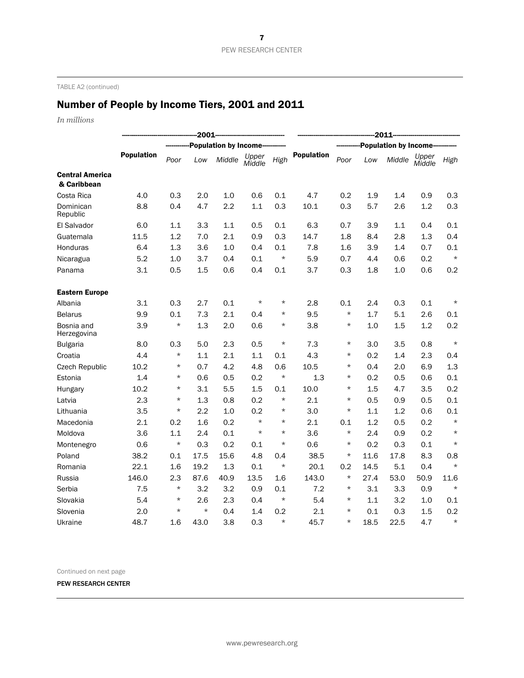TABLE A2 (continued)

# Number of People by Income Tiers, 2001 and 2011

*In millions*

|                                       |                   | $-2011$  |         |                              |                 |          |                   |          |      |                              |                 |         |
|---------------------------------------|-------------------|----------|---------|------------------------------|-----------------|----------|-------------------|----------|------|------------------------------|-----------------|---------|
|                                       |                   |          |         | <b>Population by Income-</b> |                 |          |                   |          |      | <b>Population by Income-</b> |                 |         |
|                                       | <b>Population</b> | Poor     | Low     | Middle                       | Upper<br>Middle | High     | <b>Population</b> | Poor     | Low  | Middle                       | Upper<br>Middle | High    |
| <b>Central America</b><br>& Caribbean |                   |          |         |                              |                 |          |                   |          |      |                              |                 |         |
| Costa Rica                            | 4.0               | 0.3      | 2.0     | 1.0                          | 0.6             | 0.1      | 4.7               | 0.2      | 1.9  | 1.4                          | 0.9             | 0.3     |
| Dominican<br>Republic                 | 8.8               | 0.4      | 4.7     | 2.2                          | 1.1             | 0.3      | 10.1              | 0.3      | 5.7  | 2.6                          | 1.2             | 0.3     |
| El Salvador                           | 6.0               | 1.1      | 3.3     | 1.1                          | 0.5             | 0.1      | 6.3               | 0.7      | 3.9  | 1.1                          | 0.4             | 0.1     |
| Guatemala                             | 11.5              | 1.2      | 7.0     | 2.1                          | 0.9             | 0.3      | 14.7              | 1.8      | 8.4  | 2.8                          | 1.3             | 0.4     |
| Honduras                              | 6.4               | 1.3      | 3.6     | 1.0                          | 0.4             | 0.1      | 7.8               | 1.6      | 3.9  | 1.4                          | 0.7             | 0.1     |
| Nicaragua                             | 5.2               | 1.0      | 3.7     | 0.4                          | 0.1             | $\star$  | 5.9               | 0.7      | 4.4  | 0.6                          | 0.2             | $\star$ |
| Panama                                | 3.1               | 0.5      | 1.5     | 0.6                          | 0.4             | 0.1      | 3.7               | 0.3      | 1.8  | 1.0                          | 0.6             | 0.2     |
| <b>Eastern Europe</b>                 |                   |          |         |                              |                 |          |                   |          |      |                              |                 |         |
| Albania                               | 3.1               | 0.3      | 2.7     | 0.1                          | $^\star$        | $^\star$ | 2.8               | 0.1      | 2.4  | 0.3                          | 0.1             | $\star$ |
| <b>Belarus</b>                        | 9.9               | 0.1      | 7.3     | 2.1                          | 0.4             | $^\star$ | 9.5               | $\star$  | 1.7  | 5.1                          | 2.6             | 0.1     |
| Bosnia and<br>Herzegovina             | 3.9               | $\star$  | 1.3     | 2.0                          | 0.6             | $^\star$ | 3.8               | $\star$  | 1.0  | 1.5                          | 1.2             | 0.2     |
| <b>Bulgaria</b>                       | 8.0               | 0.3      | 5.0     | 2.3                          | 0.5             | $^\star$ | 7.3               | $^\star$ | 3.0  | 3.5                          | 0.8             | $\star$ |
| Croatia                               | 4.4               | $\star$  | 1.1     | 2.1                          | 1.1             | 0.1      | 4.3               | $^\star$ | 0.2  | 1.4                          | 2.3             | 0.4     |
| Czech Republic                        | 10.2              | $^\star$ | 0.7     | 4.2                          | 4.8             | 0.6      | 10.5              | $^\star$ | 0.4  | 2.0                          | 6.9             | 1.3     |
| Estonia                               | 1.4               | $^\star$ | 0.6     | 0.5                          | 0.2             | $^\star$ | 1.3               | $^\star$ | 0.2  | 0.5                          | 0.6             | 0.1     |
| Hungary                               | 10.2              | $^\star$ | 3.1     | 5.5                          | 1.5             | 0.1      | 10.0              | $^\star$ | 1.5  | 4.7                          | 3.5             | 0.2     |
| Latvia                                | 2.3               | $^\star$ | 1.3     | 0.8                          | 0.2             | $^\star$ | 2.1               | $\star$  | 0.5  | 0.9                          | 0.5             | 0.1     |
| Lithuania                             | 3.5               | $^\star$ | 2.2     | 1.0                          | 0.2             | $^\star$ | 3.0               | $\star$  | 1.1  | 1.2                          | 0.6             | 0.1     |
| Macedonia                             | 2.1               | 0.2      | 1.6     | 0.2                          | $\star$         | $^\star$ | 2.1               | 0.1      | 1.2  | 0.5                          | 0.2             | $\star$ |
| Moldova                               | 3.6               | 1.1      | 2.4     | 0.1                          | $\star$         | $\star$  | 3.6               | $^\star$ | 2.4  | 0.9                          | 0.2             | $\star$ |
| Montenegro                            | 0.6               | $^\star$ | 0.3     | 0.2                          | 0.1             | $^\star$ | 0.6               | $\star$  | 0.2  | 0.3                          | 0.1             | $\star$ |
| Poland                                | 38.2              | 0.1      | 17.5    | 15.6                         | 4.8             | 0.4      | 38.5              | $^\star$ | 11.6 | 17.8                         | 8.3             | 0.8     |
| Romania                               | 22.1              | 1.6      | 19.2    | 1.3                          | 0.1             | $^\star$ | 20.1              | 0.2      | 14.5 | 5.1                          | 0.4             | $\star$ |
| Russia                                | 146.0             | 2.3      | 87.6    | 40.9                         | 13.5            | 1.6      | 143.0             | $^\star$ | 27.4 | 53.0                         | 50.9            | 11.6    |
| Serbia                                | 7.5               | $\star$  | 3.2     | 3.2                          | 0.9             | 0.1      | 7.2               | $^\star$ | 3.1  | 3.3                          | 0.9             | $\star$ |
| Slovakia                              | 5.4               | $\star$  | 2.6     | 2.3                          | 0.4             | $\star$  | 5.4               | $^\star$ | 1.1  | 3.2                          | 1.0             | 0.1     |
| Slovenia                              | 2.0               | $\star$  | $\star$ | 0.4                          | 1.4             | 0.2      | 2.1               | $\star$  | 0.1  | 0.3                          | 1.5             | 0.2     |
| Ukraine                               | 48.7              | 1.6      | 43.0    | 3.8                          | 0.3             | $\star$  | 45.7              | $^\star$ | 18.5 | 22.5                         | 4.7             | $\star$ |

Continued on next page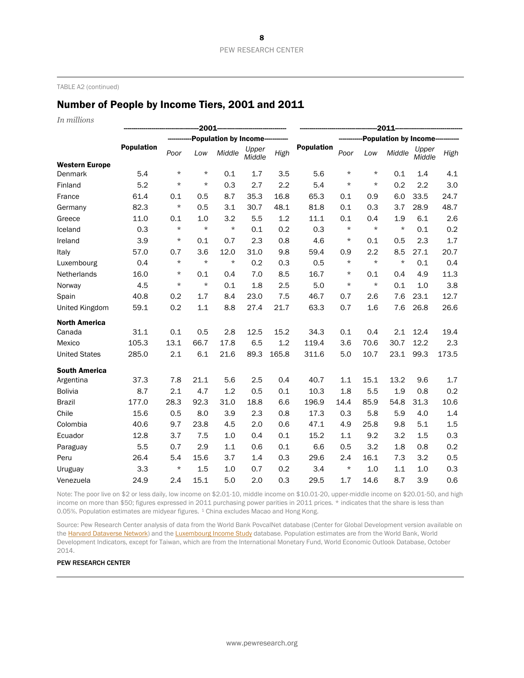TABLE A2 (continued)

### Number of People by Income Tiers, 2001 and 2011

*In millions*

|                       |                   | $-2011-$ |         |                              |                 |       |                   |                              |          |         |                 |       |
|-----------------------|-------------------|----------|---------|------------------------------|-----------------|-------|-------------------|------------------------------|----------|---------|-----------------|-------|
|                       |                   |          |         | <b>Population by Income-</b> |                 |       |                   | <b>Population by Income-</b> |          |         |                 |       |
|                       | <b>Population</b> | Poor     | Low     | Middle                       | Upper<br>Middle | High  | <b>Population</b> | Poor                         | Low      | Middle  | Upper<br>Middle | High  |
| <b>Western Europe</b> |                   |          |         |                              |                 |       |                   |                              |          |         |                 |       |
| Denmark               | 5.4               | $^\star$ | $\star$ | 0.1                          | 1.7             | 3.5   | 5.6               | $^\star$                     | $^\star$ | 0.1     | 1.4             | 4.1   |
| Finland               | 5.2               | $\star$  | $\star$ | 0.3                          | 2.7             | 2.2   | 5.4               | $\star$                      | $\star$  | 0.2     | 2.2             | 3.0   |
| France                | 61.4              | 0.1      | 0.5     | 8.7                          | 35.3            | 16.8  | 65.3              | 0.1                          | 0.9      | 6.0     | 33.5            | 24.7  |
| Germany               | 82.3              | $\star$  | 0.5     | 3.1                          | 30.7            | 48.1  | 81.8              | 0.1                          | 0.3      | 3.7     | 28.9            | 48.7  |
| Greece                | 11.0              | 0.1      | 1.0     | 3.2                          | 5.5             | 1.2   | 11.1              | 0.1                          | 0.4      | 1.9     | 6.1             | 2.6   |
| Iceland               | 0.3               | $\star$  | $\star$ | $\star$                      | 0.1             | 0.2   | 0.3               | $\star$                      | $\star$  | $\star$ | 0.1             | 0.2   |
| Ireland               | 3.9               | $\star$  | 0.1     | 0.7                          | 2.3             | 0.8   | 4.6               | $\star$                      | 0.1      | 0.5     | 2.3             | 1.7   |
| Italy                 | 57.0              | 0.7      | 3.6     | 12.0                         | 31.0            | 9.8   | 59.4              | 0.9                          | 2.2      | 8.5     | 27.1            | 20.7  |
| Luxembourg            | 0.4               | $\star$  | $\star$ | $\star$                      | 0.2             | 0.3   | 0.5               | $\star$                      | $\star$  | $\star$ | 0.1             | 0.4   |
| Netherlands           | 16.0              | $^\star$ | 0.1     | 0.4                          | 7.0             | 8.5   | 16.7              | $^\star$                     | 0.1      | 0.4     | 4.9             | 11.3  |
| Norway                | 4.5               | $^\star$ | $\star$ | 0.1                          | 1.8             | 2.5   | 5.0               | $^\star$                     | $^\star$ | 0.1     | 1.0             | 3.8   |
| Spain                 | 40.8              | 0.2      | 1.7     | 8.4                          | 23.0            | 7.5   | 46.7              | 0.7                          | 2.6      | 7.6     | 23.1            | 12.7  |
| United Kingdom        | 59.1              | 0.2      | 1.1     | 8.8                          | 27.4            | 21.7  | 63.3              | 0.7                          | 1.6      | 7.6     | 26.8            | 26.6  |
| <b>North America</b>  |                   |          |         |                              |                 |       |                   |                              |          |         |                 |       |
| Canada                | 31.1              | 0.1      | 0.5     | 2.8                          | 12.5            | 15.2  | 34.3              | 0.1                          | 0.4      | 2.1     | 12.4            | 19.4  |
| Mexico                | 105.3             | 13.1     | 66.7    | 17.8                         | 6.5             | 1.2   | 119.4             | 3.6                          | 70.6     | 30.7    | 12.2            | 2.3   |
| <b>United States</b>  | 285.0             | 2.1      | 6.1     | 21.6                         | 89.3            | 165.8 | 311.6             | 5.0                          | 10.7     | 23.1    | 99.3            | 173.5 |
| <b>South America</b>  |                   |          |         |                              |                 |       |                   |                              |          |         |                 |       |
| Argentina             | 37.3              | 7.8      | 21.1    | 5.6                          | 2.5             | 0.4   | 40.7              | 1.1                          | 15.1     | 13.2    | 9.6             | 1.7   |
| <b>Bolivia</b>        | 8.7               | 2.1      | 4.7     | 1.2                          | 0.5             | 0.1   | 10.3              | 1.8                          | 5.5      | 1.9     | 0.8             | 0.2   |
| <b>Brazil</b>         | 177.0             | 28.3     | 92.3    | 31.0                         | 18.8            | 6.6   | 196.9             | 14.4                         | 85.9     | 54.8    | 31.3            | 10.6  |
| Chile                 | 15.6              | 0.5      | 8.0     | 3.9                          | 2.3             | 0.8   | 17.3              | 0.3                          | 5.8      | 5.9     | 4.0             | 1.4   |
| Colombia              | 40.6              | 9.7      | 23.8    | 4.5                          | 2.0             | 0.6   | 47.1              | 4.9                          | 25.8     | 9.8     | 5.1             | 1.5   |
| Ecuador               | 12.8              | 3.7      | 7.5     | 1.0                          | 0.4             | 0.1   | 15.2              | 1.1                          | 9.2      | 3.2     | 1.5             | 0.3   |
| Paraguay              | 5.5               | 0.7      | 2.9     | 1.1                          | 0.6             | 0.1   | 6.6               | 0.5                          | 3.2      | 1.8     | 0.8             | 0.2   |
| Peru                  | 26.4              | 5.4      | 15.6    | 3.7                          | 1.4             | 0.3   | 29.6              | 2.4                          | 16.1     | 7.3     | 3.2             | 0.5   |
| Uruguay               | 3.3               | $^\star$ | 1.5     | 1.0                          | 0.7             | 0.2   | 3.4               | $^\star$                     | 1.0      | 1.1     | 1.0             | 0.3   |
| Venezuela             | 24.9              | 2.4      | 15.1    | 5.0                          | 2.0             | 0.3   | 29.5              | 1.7                          | 14.6     | 8.7     | 3.9             | 0.6   |

Note: The poor live on \$2 or less daily, low income on \$2.01-10, middle income on \$10.01-20, upper-middle income on \$20.01-50, and high income on more than \$50; figures expressed in 2011 purchasing power parities in 2011 prices. \* indicates that the share is less than 0.05%. Population estimates are midyear figures. <sup>1</sup> China excludes Macao and Hong Kong.

Source: Pew Research Center analysis of data from the World Bank PovcalNet database (Center for Global Development version available on th[e Harvard Dataverse Network\)](https://dataverse.harvard.edu/dataset.xhtml?persistentId=doi:10.7910/DVN/25492) and th[e Luxembourg Income Study](http://www.lisdatacenter.org/) database. Population estimates are from the World Bank, World Development Indicators, except for Taiwan, which are from the International Monetary Fund, World Economic Outlook Database, October 2014.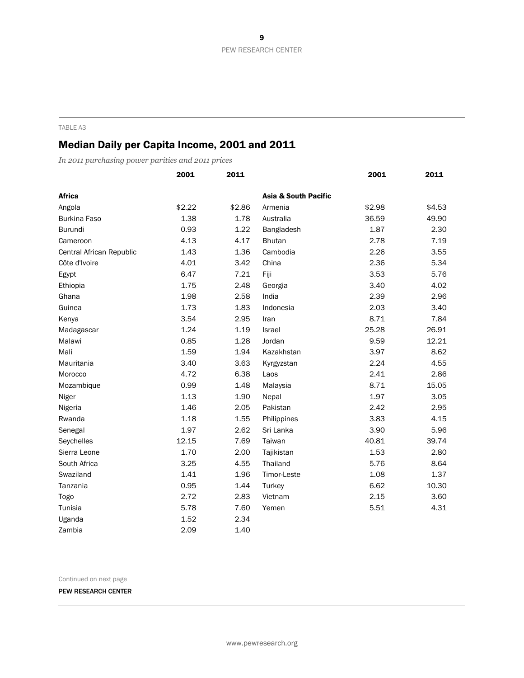### Median Daily per Capita Income, 2001 and 2011

*In 2011 purchasing power parities and 2011 prices*

|                          | 2001   | 2011   |                                 | 2001   | 2011   |
|--------------------------|--------|--------|---------------------------------|--------|--------|
| <b>Africa</b>            |        |        | <b>Asia &amp; South Pacific</b> |        |        |
| Angola                   | \$2.22 | \$2.86 | Armenia                         | \$2.98 | \$4.53 |
| <b>Burkina Faso</b>      | 1.38   | 1.78   | Australia                       | 36.59  | 49.90  |
| Burundi                  | 0.93   | 1.22   | Bangladesh                      | 1.87   | 2.30   |
| Cameroon                 | 4.13   | 4.17   | <b>Bhutan</b>                   | 2.78   | 7.19   |
| Central African Republic | 1.43   | 1.36   | Cambodia                        | 2.26   | 3.55   |
| Côte d'Ivoire            | 4.01   | 3.42   | China                           | 2.36   | 5.34   |
| Egypt                    | 6.47   | 7.21   | Fiji                            | 3.53   | 5.76   |
| Ethiopia                 | 1.75   | 2.48   | Georgia                         | 3.40   | 4.02   |
| Ghana                    | 1.98   | 2.58   | India                           | 2.39   | 2.96   |
| Guinea                   | 1.73   | 1.83   | Indonesia                       | 2.03   | 3.40   |
| Kenya                    | 3.54   | 2.95   | Iran                            | 8.71   | 7.84   |
| Madagascar               | 1.24   | 1.19   | <b>Israel</b>                   | 25.28  | 26.91  |
| Malawi                   | 0.85   | 1.28   | Jordan                          | 9.59   | 12.21  |
| Mali                     | 1.59   | 1.94   | Kazakhstan                      | 3.97   | 8.62   |
| Mauritania               | 3.40   | 3.63   | Kyrgyzstan                      | 2.24   | 4.55   |
| Morocco                  | 4.72   | 6.38   | Laos                            | 2.41   | 2.86   |
| Mozambique               | 0.99   | 1.48   | Malaysia                        | 8.71   | 15.05  |
| Niger                    | 1.13   | 1.90   | Nepal                           | 1.97   | 3.05   |
| Nigeria                  | 1.46   | 2.05   | Pakistan                        | 2.42   | 2.95   |
| Rwanda                   | 1.18   | 1.55   | Philippines                     | 3.83   | 4.15   |
| Senegal                  | 1.97   | 2.62   | Sri Lanka                       | 3.90   | 5.96   |
| Seychelles               | 12.15  | 7.69   | Taiwan                          | 40.81  | 39.74  |
| Sierra Leone             | 1.70   | 2.00   | Tajikistan                      | 1.53   | 2.80   |
| South Africa             | 3.25   | 4.55   | Thailand                        | 5.76   | 8.64   |
| Swaziland                | 1.41   | 1.96   | Timor-Leste                     | 1.08   | 1.37   |
| Tanzania                 | 0.95   | 1.44   | Turkey                          | 6.62   | 10.30  |
| Togo                     | 2.72   | 2.83   | Vietnam                         | 2.15   | 3.60   |
| Tunisia                  | 5.78   | 7.60   | Yemen                           | 5.51   | 4.31   |
| Uganda                   | 1.52   | 2.34   |                                 |        |        |
| Zambia                   | 2.09   | 1.40   |                                 |        |        |

Continued on next page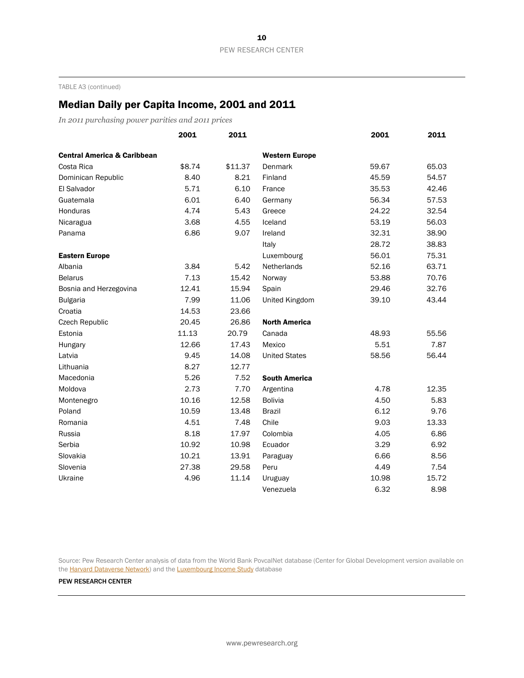TABLE A3 (continued)

### Median Daily per Capita Income, 2001 and 2011

*In 2011 purchasing power parities and 2011 prices*

|                                        | 2001   | 2011    |                       | 2001  | 2011  |
|----------------------------------------|--------|---------|-----------------------|-------|-------|
| <b>Central America &amp; Caribbean</b> |        |         | <b>Western Europe</b> |       |       |
| Costa Rica                             | \$8.74 | \$11.37 | Denmark               | 59.67 | 65.03 |
| Dominican Republic                     | 8.40   | 8.21    | Finland               | 45.59 | 54.57 |
| El Salvador                            | 5.71   | 6.10    | France                | 35.53 | 42.46 |
| Guatemala                              | 6.01   | 6.40    | Germany               | 56.34 | 57.53 |
| Honduras                               | 4.74   | 5.43    | Greece                | 24.22 | 32.54 |
| Nicaragua                              | 3.68   | 4.55    | Iceland               | 53.19 | 56.03 |
| Panama                                 | 6.86   | 9.07    | Ireland               | 32.31 | 38.90 |
|                                        |        |         | Italy                 | 28.72 | 38.83 |
| <b>Eastern Europe</b>                  |        |         | Luxembourg            | 56.01 | 75.31 |
| Albania                                | 3.84   | 5.42    | Netherlands           | 52.16 | 63.71 |
| <b>Belarus</b>                         | 7.13   | 15.42   | Norway                | 53.88 | 70.76 |
| Bosnia and Herzegovina                 | 12.41  | 15.94   | Spain                 | 29.46 | 32.76 |
| <b>Bulgaria</b>                        | 7.99   | 11.06   | United Kingdom        | 39.10 | 43.44 |
| Croatia                                | 14.53  | 23.66   |                       |       |       |
| Czech Republic                         | 20.45  | 26.86   | <b>North America</b>  |       |       |
| Estonia                                | 11.13  | 20.79   | Canada                | 48.93 | 55.56 |
| Hungary                                | 12.66  | 17.43   | Mexico                | 5.51  | 7.87  |
| Latvia                                 | 9.45   | 14.08   | <b>United States</b>  | 58.56 | 56.44 |
| Lithuania                              | 8.27   | 12.77   |                       |       |       |
| Macedonia                              | 5.26   | 7.52    | <b>South America</b>  |       |       |
| Moldova                                | 2.73   | 7.70    | Argentina             | 4.78  | 12.35 |
| Montenegro                             | 10.16  | 12.58   | <b>Bolivia</b>        | 4.50  | 5.83  |
| Poland                                 | 10.59  | 13.48   | <b>Brazil</b>         | 6.12  | 9.76  |
| Romania                                | 4.51   | 7.48    | Chile                 | 9.03  | 13.33 |
| Russia                                 | 8.18   | 17.97   | Colombia              | 4.05  | 6.86  |
| Serbia                                 | 10.92  | 10.98   | Ecuador               | 3.29  | 6.92  |
| Slovakia                               | 10.21  | 13.91   | Paraguay              | 6.66  | 8.56  |
| Slovenia                               | 27.38  | 29.58   | Peru                  | 4.49  | 7.54  |
| Ukraine                                | 4.96   | 11.14   | Uruguay               | 10.98 | 15.72 |
|                                        |        |         | Venezuela             | 6.32  | 8.98  |

Source: Pew Research Center analysis of data from the World Bank PovcalNet database (Center for Global Development version available on the **Harvard Dataverse Network**) and the **Luxembourg Income Study** database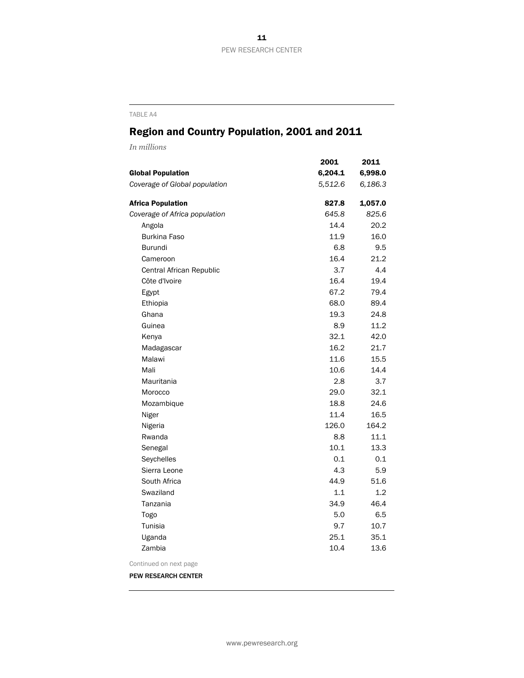## Region and Country Population, 2001 and 2011

*In millions*

|                               | 2001    | 2011    |
|-------------------------------|---------|---------|
| <b>Global Population</b>      | 6,204.1 | 6,998.0 |
| Coverage of Global population | 5,512.6 | 6,186.3 |
| <b>Africa Population</b>      | 827.8   | 1,057.0 |
| Coverage of Africa population | 645.8   | 825.6   |
| Angola                        | 14.4    | 20.2    |
| <b>Burkina Faso</b>           | 11.9    | 16.0    |
| <b>Burundi</b>                | 6.8     | 9.5     |
| Cameroon                      | 16.4    | 21.2    |
| Central African Republic      | 3.7     | 4.4     |
| Côte d'Ivoire                 | 16.4    | 19.4    |
| Egypt                         | 67.2    | 79.4    |
| Ethiopia                      | 68.0    | 89.4    |
| Ghana                         | 19.3    | 24.8    |
| Guinea                        | 8.9     | 11.2    |
| Kenya                         | 32.1    | 42.0    |
| Madagascar                    | 16.2    | 21.7    |
| Malawi                        | 11.6    | 15.5    |
| Mali                          | 10.6    | 14.4    |
| Mauritania                    | 2.8     | 3.7     |
| Morocco                       | 29.0    | 32.1    |
| Mozambique                    | 18.8    | 24.6    |
| Niger                         | 11.4    | 16.5    |
| Nigeria                       | 126.0   | 164.2   |
| Rwanda                        | 8.8     | 11.1    |
| Senegal                       | 10.1    | 13.3    |
| Seychelles                    | 0.1     | 0.1     |
| Sierra Leone                  | 4.3     | 5.9     |
| South Africa                  | 44.9    | 51.6    |
| Swaziland                     | 1.1     | 1.2     |
| Tanzania                      | 34.9    | 46.4    |
| Togo                          | 5.0     | 6.5     |
| Tunisia                       | 9.7     | 10.7    |
| Uganda                        | 25.1    | 35.1    |
| Zambia                        | 10.4    | 13.6    |
| Continued on next page        |         |         |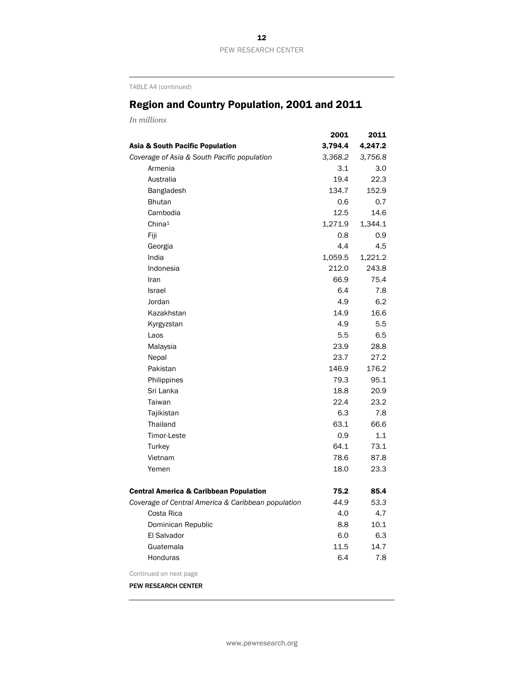TABLE A4 (continued)

## Region and Country Population, 2001 and 2011

*In millions*

|                                                    | 2001    | 2011    |
|----------------------------------------------------|---------|---------|
| Asia & South Pacific Population                    | 3,794.4 | 4,247.2 |
| Coverage of Asia & South Pacific population        | 3,368.2 | 3,756.8 |
| Armenia                                            | 3.1     | 3.0     |
| Australia                                          | 19.4    | 22.3    |
| Bangladesh                                         | 134.7   | 152.9   |
| <b>Bhutan</b>                                      | 0.6     | 0.7     |
| Cambodia                                           | 12.5    | 14.6    |
| China <sup>1</sup>                                 | 1,271.9 | 1,344.1 |
| Fiji                                               | 0.8     | 0.9     |
| Georgia                                            | 4.4     | 4.5     |
| India                                              | 1,059.5 | 1,221.2 |
| Indonesia                                          | 212.0   | 243.8   |
| Iran                                               | 66.9    | 75.4    |
| <b>Israel</b>                                      | 6.4     | 7.8     |
| Jordan                                             | 4.9     | 6.2     |
| Kazakhstan                                         | 14.9    | 16.6    |
| Kyrgyzstan                                         | 4.9     | 5.5     |
| Laos                                               | 5.5     | 6.5     |
| Malaysia                                           | 23.9    | 28.8    |
| Nepal                                              | 23.7    | 27.2    |
| Pakistan                                           | 146.9   | 176.2   |
| Philippines                                        | 79.3    | 95.1    |
| Sri Lanka                                          | 18.8    | 20.9    |
| Taiwan                                             | 22.4    | 23.2    |
| Tajikistan                                         | 6.3     | 7.8     |
| Thailand                                           | 63.1    | 66.6    |
| Timor-Leste                                        | 0.9     | 1.1     |
| Turkey                                             | 64.1    | 73.1    |
| Vietnam                                            | 78.6    | 87.8    |
| Yemen                                              | 18.0    | 23.3    |
| <b>Central America &amp; Caribbean Population</b>  | 75.2    | 85.4    |
| Coverage of Central America & Caribbean population | 44.9    | 53.3    |
| Costa Rica                                         | 4.0     | 4.7     |
| Dominican Republic                                 | 8.8     | 10.1    |
| El Salvador                                        | 6.0     | 6.3     |
| Guatemala                                          | 11.5    | 14.7    |
| <b>Honduras</b>                                    | 6.4     | 7.8     |
| Continued on next page                             |         |         |
| PEW RESEARCH CENTER                                |         |         |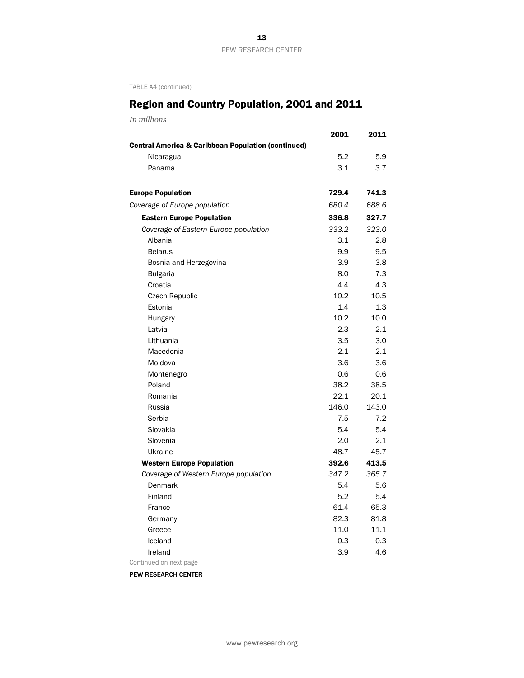TABLE A4 (continued)

# Region and Country Population, 2001 and 2011

*In millions*

|                                                               | 2001              | 2011    |
|---------------------------------------------------------------|-------------------|---------|
| <b>Central America &amp; Caribbean Population (continued)</b> |                   |         |
| Nicaragua                                                     | 5.2               | 5.9     |
| Panama                                                        | 3.1               | 3.7     |
| <b>Europe Population</b>                                      | 729.4             | 741.3   |
| Coverage of Europe population                                 | 680.4             | 688.6   |
| <b>Eastern Europe Population</b>                              | 336.8             | 327.7   |
| Coverage of Eastern Europe population                         | 333.2             | 323.0   |
| Albania                                                       | 3.1               | 2.8     |
| <b>Belarus</b>                                                | 9.9               | 9.5     |
| Bosnia and Herzegovina                                        | 3.9               | 3.8     |
| <b>Bulgaria</b>                                               | 8.0               | 7.3     |
| Croatia                                                       | 4.4               | 4.3     |
| <b>Czech Republic</b>                                         | 10.2 <sub>1</sub> | 10.5    |
| Estonia                                                       | $1.4^{\circ}$     | $1.3\,$ |
| Hungary                                                       | 10.2              | 10.0    |
| Latvia                                                        | 2.3               | 2.1     |
| Lithuania                                                     | 3.5               | 3.0     |
| Macedonia                                                     | 2.1               | 2.1     |
| Moldova                                                       | 3.6               | 3.6     |
| Montenegro                                                    | 0.6               | 0.6     |
| Poland                                                        | 38.2              | 38.5    |
| Romania                                                       | 22.1              | 20.1    |
| Russia                                                        | 146.0             | 143.0   |
| Serbia                                                        | 7.5               | 7.2     |
| Slovakia                                                      | 5.4               | 5.4     |
| Slovenia                                                      | 2.0               | 2.1     |
| Ukraine                                                       | 48.7              | 45.7    |
| <b>Western Europe Population</b>                              | 392.6             | 413.5   |
| Coverage of Western Europe population                         | 347.2             | 365.7   |
| Denmark                                                       | 5.4               | 5.6     |
| Finland                                                       | 5.2               | 5.4     |
| France                                                        | 61.4              | 65.3    |
| Germany                                                       | 82.3              | 81.8    |
| Greece                                                        | 11.0              | 11.1    |
| Iceland                                                       | 0.3               | 0.3     |
| Ireland                                                       | 3.9               | 4.6     |
| Continued on next page                                        |                   |         |
| <b>PEW RESEARCH CENTER</b>                                    |                   |         |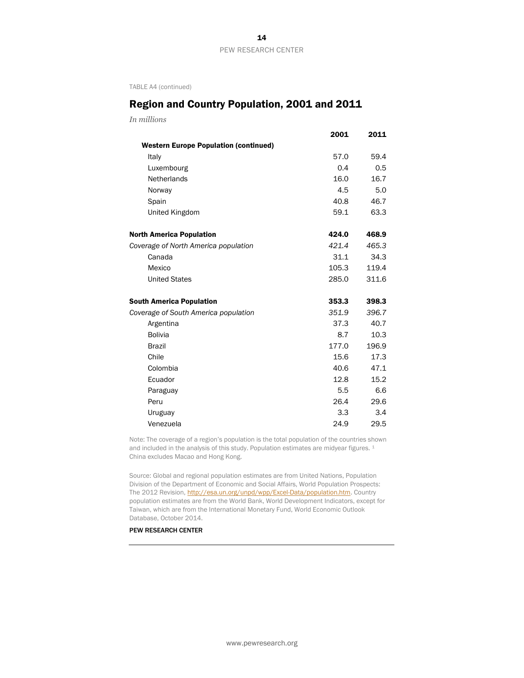TABLE A4 (continued)

### Region and Country Population, 2001 and 2011

*In millions*

|                                              | 2001  | 2011  |
|----------------------------------------------|-------|-------|
| <b>Western Europe Population (continued)</b> |       |       |
| Italy                                        | 57.0  | 59.4  |
| Luxembourg                                   | 0.4   | 0.5   |
| Netherlands                                  | 16.0  | 16.7  |
| Norway                                       | 4.5   | 5.0   |
| Spain                                        | 40.8  | 46.7  |
| United Kingdom                               | 59.1  | 63.3  |
| <b>North America Population</b>              | 424.0 | 468.9 |
| Coverage of North America population         | 421.4 | 465.3 |
| Canada                                       | 31.1  | 34.3  |
| Mexico                                       | 105.3 | 119.4 |
| <b>United States</b>                         | 285.0 | 311.6 |
| <b>South America Population</b>              | 353.3 | 398.3 |
| Coverage of South America population         | 351.9 | 396.7 |
| Argentina                                    | 37.3  | 40.7  |
| <b>Bolivia</b>                               | 8.7   | 10.3  |
| <b>Brazil</b>                                | 177.0 | 196.9 |
| Chile                                        | 15.6  | 17.3  |
| Colombia                                     | 40.6  | 47.1  |
| Ecuador                                      | 12.8  | 15.2  |
| Paraguay                                     | 5.5   | 6.6   |
| Peru                                         | 26.4  | 29.6  |
| Uruguay                                      | 3.3   | 3.4   |
| Venezuela                                    | 24.9  | 29.5  |

Note: The coverage of a region's population is the total population of the countries shown and included in the analysis of this study. Population estimates are midyear figures. <sup>1</sup> China excludes Macao and Hong Kong.

Source: Global and regional population estimates are from United Nations, Population Division of the Department of Economic and Social Affairs, World Population Prospects: The 2012 Revision, [http://esa.un.org/unpd/wpp/Excel-Data/population.htm.](http://esa.un.org/unpd/wpp/Excel-Data/population.htm) Country population estimates are from the World Bank, World Development Indicators, except for Taiwan, which are from the International Monetary Fund, World Economic Outlook Database, October 2014.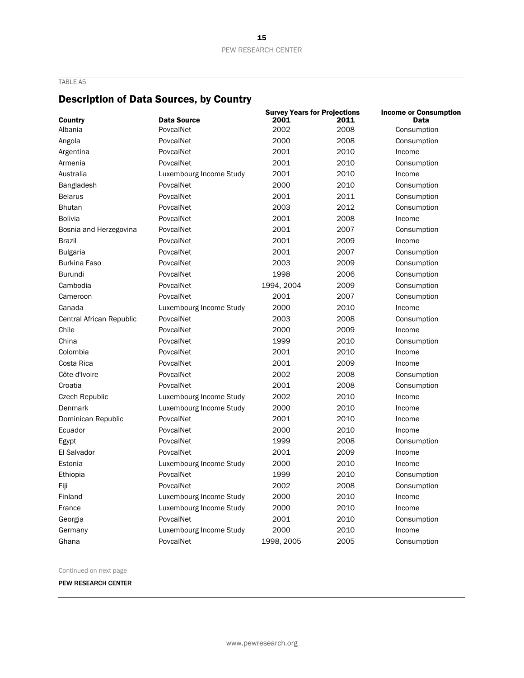### Description of Data Sources, by Country

|                          |                         | <b>Survey Years for Projections</b> |              | <b>Income or Consumption</b> |
|--------------------------|-------------------------|-------------------------------------|--------------|------------------------------|
| <b>Country</b>           | <b>Data Source</b>      | 2001<br>2002                        | 2011<br>2008 | <b>Data</b>                  |
| Albania                  | PovcalNet               |                                     |              | Consumption                  |
| Angola                   | PovcalNet               | 2000                                | 2008         | Consumption                  |
| Argentina                | PovcalNet               | 2001                                | 2010         | Income                       |
| Armenia                  | PovcalNet               | 2001                                | 2010         | Consumption                  |
| Australia                | Luxembourg Income Study | 2001                                | 2010         | Income                       |
| <b>Bangladesh</b>        | PovcalNet               | 2000                                | 2010         | Consumption                  |
| <b>Belarus</b>           | PovcalNet               | 2001                                | 2011         | Consumption                  |
| <b>Bhutan</b>            | PovcalNet               | 2003                                | 2012         | Consumption                  |
| <b>Bolivia</b>           | PovcalNet               | 2001                                | 2008         | Income                       |
| Bosnia and Herzegovina   | PovcalNet               | 2001                                | 2007         | Consumption                  |
| <b>Brazil</b>            | PovcalNet               | 2001                                | 2009         | Income                       |
| <b>Bulgaria</b>          | PovcalNet               | 2001                                | 2007         | Consumption                  |
| <b>Burkina Faso</b>      | PovcalNet               | 2003                                | 2009         | Consumption                  |
| <b>Burundi</b>           | PovcalNet               | 1998                                | 2006         | Consumption                  |
| Cambodia                 | PovcalNet               | 1994, 2004                          | 2009         | Consumption                  |
| Cameroon                 | PovcalNet               | 2001                                | 2007         | Consumption                  |
| Canada                   | Luxembourg Income Study | 2000                                | 2010         | Income                       |
| Central African Republic | PovcalNet               | 2003                                | 2008         | Consumption                  |
| Chile                    | PovcalNet               | 2000                                | 2009         | Income                       |
| China                    | PovcalNet               | 1999                                | 2010         | Consumption                  |
| Colombia                 | PovcalNet               | 2001                                | 2010         | Income                       |
| Costa Rica               | PovcalNet               | 2001                                | 2009         | Income                       |
| Côte d'Ivoire            | PovcalNet               | 2002                                | 2008         | Consumption                  |
| Croatia                  | PovcalNet               | 2001                                | 2008         | Consumption                  |
| Czech Republic           | Luxembourg Income Study | 2002                                | 2010         | Income                       |
| Denmark                  | Luxembourg Income Study | 2000                                | 2010         | Income                       |
| Dominican Republic       | PovcalNet               | 2001                                | 2010         | Income                       |
| Ecuador                  | PovcalNet               | 2000                                | 2010         | Income                       |
| Egypt                    | PovcalNet               | 1999                                | 2008         | Consumption                  |
| El Salvador              | PovcalNet               | 2001                                | 2009         | Income                       |
| Estonia                  | Luxembourg Income Study | 2000                                | 2010         | Income                       |
| Ethiopia                 | PovcalNet               | 1999                                | 2010         | Consumption                  |
| Fiji                     | PovcalNet               | 2002                                | 2008         | Consumption                  |
| Finland                  | Luxembourg Income Study | 2000                                | 2010         | Income                       |
| France                   | Luxembourg Income Study | 2000                                | 2010         | Income                       |
| Georgia                  | PovcalNet               | 2001                                | 2010         | Consumption                  |
| Germany                  | Luxembourg Income Study | 2000                                | 2010         | Income                       |
| Ghana                    | PovcalNet               | 1998, 2005                          | 2005         | Consumption                  |

Continued on next page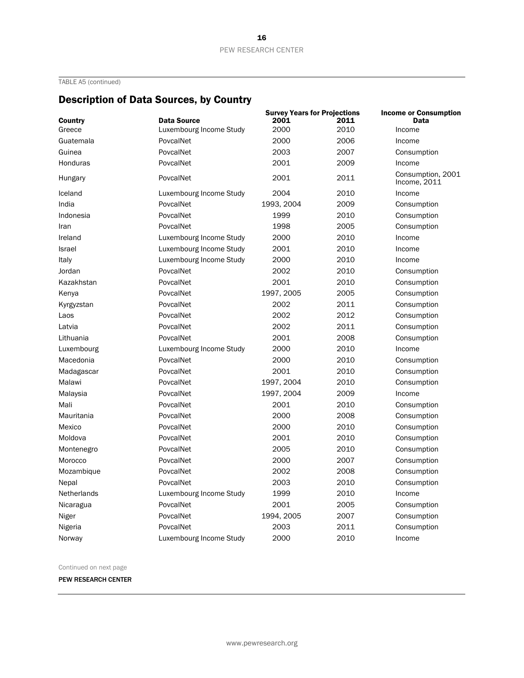TABLE A5 (continued)

## Description of Data Sources, by Country

| Country       | <b>Data Source</b>      | <b>Survey Years for Projections</b><br>2001<br>2011 |      | <b>Income or Consumption</b><br><b>Data</b> |  |
|---------------|-------------------------|-----------------------------------------------------|------|---------------------------------------------|--|
| Greece        | Luxembourg Income Study | 2000                                                | 2010 | Income                                      |  |
| Guatemala     | PovcalNet               | 2000                                                | 2006 | Income                                      |  |
| Guinea        | PovcalNet               | 2003                                                | 2007 | Consumption                                 |  |
| Honduras      | PovcalNet               | 2001                                                | 2009 | Income                                      |  |
| Hungary       | PovcalNet               | 2001                                                | 2011 | Consumption, 2001<br>Income, 2011           |  |
| Iceland       | Luxembourg Income Study | 2004                                                | 2010 | Income                                      |  |
| India         | PovcalNet               | 1993, 2004                                          | 2009 | Consumption                                 |  |
| Indonesia     | PovcalNet               | 1999                                                | 2010 | Consumption                                 |  |
| Iran          | PovcalNet               | 1998                                                | 2005 | Consumption                                 |  |
| Ireland       | Luxembourg Income Study | 2000                                                | 2010 | Income                                      |  |
| <b>Israel</b> | Luxembourg Income Study | 2001                                                | 2010 | Income                                      |  |
| Italy         | Luxembourg Income Study | 2000                                                | 2010 | Income                                      |  |
| Jordan        | PovcalNet               | 2002                                                | 2010 | Consumption                                 |  |
| Kazakhstan    | PovcalNet               | 2001                                                | 2010 | Consumption                                 |  |
| Kenya         | PovcalNet               | 1997, 2005                                          | 2005 | Consumption                                 |  |
| Kyrgyzstan    | PovcalNet               | 2002                                                | 2011 | Consumption                                 |  |
| Laos          | PovcalNet               | 2002                                                | 2012 | Consumption                                 |  |
| Latvia        | PovcalNet               | 2002                                                | 2011 | Consumption                                 |  |
| Lithuania     | PovcalNet               | 2001                                                | 2008 | Consumption                                 |  |
| Luxembourg    | Luxembourg Income Study | 2000                                                | 2010 | Income                                      |  |
| Macedonia     | PovcalNet               | 2000                                                | 2010 | Consumption                                 |  |
| Madagascar    | PovcalNet               | 2001                                                | 2010 | Consumption                                 |  |
| Malawi        | PovcalNet               | 1997, 2004                                          | 2010 | Consumption                                 |  |
| Malaysia      | PovcalNet               | 1997, 2004                                          | 2009 | Income                                      |  |
| Mali          | PovcalNet               | 2001                                                | 2010 | Consumption                                 |  |
| Mauritania    | PovcalNet               | 2000                                                | 2008 | Consumption                                 |  |
| Mexico        | PovcalNet               | 2000                                                | 2010 | Consumption                                 |  |
| Moldova       | PovcalNet               | 2001                                                | 2010 | Consumption                                 |  |
| Montenegro    | PovcalNet               | 2005                                                | 2010 | Consumption                                 |  |
| Morocco       | PovcalNet               | 2000                                                | 2007 | Consumption                                 |  |
| Mozambique    | PovcalNet               | 2002                                                | 2008 | Consumption                                 |  |
| Nepal         | PovcalNet               | 2003                                                | 2010 | Consumption                                 |  |
| Netherlands   | Luxembourg Income Study | 1999                                                | 2010 | Income                                      |  |
| Nicaragua     | PovcalNet               | 2001                                                | 2005 | Consumption                                 |  |
| Niger         | PovcalNet               | 1994, 2005                                          | 2007 | Consumption                                 |  |
| Nigeria       | PovcalNet               | 2003                                                | 2011 | Consumption                                 |  |
| Norway        | Luxembourg Income Study | 2000                                                | 2010 | Income                                      |  |

Continued on next page